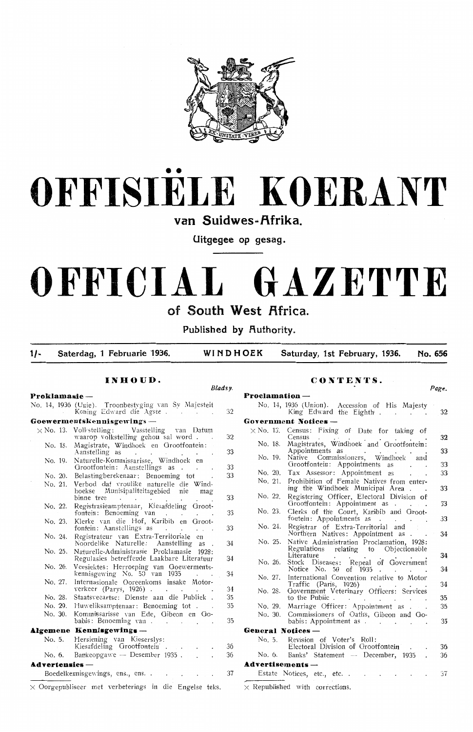



van Suidwes-Afrika.

**Uitgegee op gesag.** 

# **OFFICIAL GAZETTE**

### **of South West Africa.**

Published by **Authority**.

**1/- Saterdag, 1 Februarie 1936. WINDHOEK Saturday, 1st February, 1936. No. 656** 

### **INHOUD.**

*Bladsy.* 

*Page.* 

**CONTENTS.** 

| Proklamasie —       |                    |                                                                                                                                                    |          | Proclamation-                                                                                                            |
|---------------------|--------------------|----------------------------------------------------------------------------------------------------------------------------------------------------|----------|--------------------------------------------------------------------------------------------------------------------------|
|                     |                    | No. 14, 1936 (Unie). Troonbestyging van Sy Majesteit<br>Koning Edward die Agste.<br>and the contract of the contract of                            | 32       | No. 14, 1936 (Union). Accession of His Majesty<br>King Edward the Eighth<br>32<br>$\mathbf{r} = \mathbf{r}$              |
|                     |                    | $\bf{Gewerments}$ kennisgewings $-$                                                                                                                |          | Government Notices -                                                                                                     |
|                     |                    | $\times$ No. 13. Voll stelling: Vasstelling van Datum<br>waarop volkstelling gehou sal word.<br>Magistrate, Windhoek en Grootfontein:              | 32       | $\times$ No. 13. Census: Fixing of Date for taking of<br>Census<br>32<br>No. 18. Magistrates, Windhoek and Grootfontein: |
|                     | No. 18.<br>No. 19. | Aanstelling as<br>and the company of the company<br>Naturelle-Kommissarisse, Windhoek en                                                           | 33       | 33<br>Appointments as<br>No. 19. Native Commissioners, Windhoek and<br>33<br>Grootfontein: Appointments as               |
|                     | No. 20.            | Grootfontein: Aanstellings as<br>Belastingberekenaar: Benoeming tot                                                                                | 33<br>33 | 33<br>No. 20. Tax Assessor: Appointment as<br>$\cdot$ .                                                                  |
|                     | No. 21.            | Verbod dat vroulike naturelle die Wind-<br>hoekse Munisipaliteitsgebied nie<br>mag                                                                 |          | No. 21. Prohibition of Female Natives from enter-<br>ing the Windhoek Municipal Area.<br>33<br>No. 22.                   |
|                     |                    | binne tree<br>$\mathcal{O}(\mathcal{A})$ . The contribution of the $\mathcal{O}(\mathcal{A})$<br>No. 22. Registrasieamptenaar, Kiesafdeling Groot- | 33       | Registering Officer, Electoral Division of<br>Grootfontein: Appointment as<br>33                                         |
|                     | No. 23.            | fontein: Benoeming van<br>Klerke van die Hof, Karibib en Groot-                                                                                    | 33       | Clerks of the Court, Karibib and Groot-<br>No. 23.<br>33<br>fontein: Appointments as                                     |
|                     |                    | fontein: Aanstellings as<br>$\ddotsc$                                                                                                              | 33       | No. 24. Registrar of Extra-Territorial and<br>Northern Natives: Appointment as .<br>34                                   |
|                     | No. 24.            | Registrateur van Extra-Territoriale en<br>Noordelike Naturelle: Aanstelling as                                                                     | 34       | Native Administration Proclamation, 1928:<br>No. 25.                                                                     |
|                     | No. 25.            | Naturelle-Administrasie Proklamasie 1928:<br>Regulasies betreffende Laakbare Literatuur                                                            | 34       | Regulations relating to Objectionable<br>34<br>Literature<br>Stock Diseases: Repeal of Government<br>No. 26.             |
|                     | No. 26.            | Veesiektes: Herroeping van Goewerments-<br>kennisgewing No. 50 van 1935                                                                            | 34       | 34<br>Notice No. 50 of 1935<br>International Convention relative to Motor<br>No. 27.                                     |
|                     | No. 27.            | Internasionale Ooreenkoms insake Motor-<br>verkeer (Parys, $1926$ )                                                                                | 34       | 34<br>Traffic (Paris, 1926)<br>Government Veterinary Officers: Services<br>No. 28.                                       |
|                     | No. 28.            | Staatsveeartse: Dienste aan die Publiek.                                                                                                           | 35       | to the Public.<br>35                                                                                                     |
|                     | No. 29.            | Huweliksamptenaar: Benoeming tot.                                                                                                                  | 35       | Marriage Officer: Appointment as<br>35<br>No. 29.                                                                        |
|                     | No. 30.            | Kommissarisse van Ede, Gibeon en Go-<br>babis: Benoeming van                                                                                       | 35       | No. 30. Commissioners of Oath's, Gibeon and Go-<br>35<br>babis: Appointment as                                           |
|                     |                    | Algemene Kennisgewings-                                                                                                                            |          | <b>General Notices --</b>                                                                                                |
| No. 5.              |                    | Hersiening van Kieserslys:<br>Kiesafdeling Grootfontein<br>$\ddot{\phantom{a}}$                                                                    | -36      | Revision of Voter's Roll:<br>No. 5.<br>Electoral Division of Grootfontein<br>36                                          |
| No. 6.              |                    | Bankeopgawe - Desember 1935.<br>$\ddot{\phantom{a}}$                                                                                               | 36       | Banks' Statement -- December, 1935.<br>36<br>No. 6.                                                                      |
| $Ad$ vertensies $-$ |                    |                                                                                                                                                    |          | $Advert isements -$                                                                                                      |
|                     |                    | Boedelkennisgewings, ens., ens.                                                                                                                    | -37      | 37<br>Estate Notices, etc., etc                                                                                          |
|                     |                    | $\times$ Oorgepubliseer met verbeterings in die Engelse teks.                                                                                      |          | $\times$ Republished with corrections.                                                                                   |
|                     |                    |                                                                                                                                                    |          |                                                                                                                          |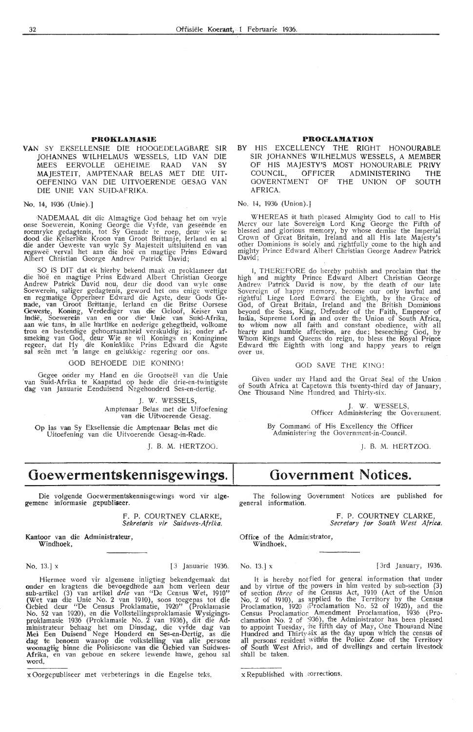### **PROKLAMASIE**

**VAN** SY EKSELLENSIE DIE HOOOEDELAOBARE SIR JOHANNES WILHELMUS WESSELS, LID VAN DIE MEES EERVOLLE OEHEIME RAAD VAN SY MAJESTEIT, AMPTENAAR BELAS MET DIE UIT-OEFENING VAN DIE UITVOERENDE GESAO VAN DIE UNIE VAN SUID-AFRIKA.

No. 14, 1936 (Unie).]

NADEMAAL dit die Almagtige God behaag het om wyle onse Soewerein, Koning George die Vyfde, van geseënde en roemryke gedagtenis, tot Sy Genade te roep, deur wie se<br>dood die Keiserlike Kroon van Groot Brittanje, lerland en al die ander Geweste van wyk Sy Majesteit uitsluitend en van regswee verval het aan die hoe en magtig,e Priins Edward Albert Christian George Andrew Patrick David;

SO IS DIT dat ek hierby bekend maak en proklameer dat die hoë en magtige Prins Edward Albert Christian George Andrew Patrick David nou, deur die dood van wyle onse<br>Soewerein, saliger gedagtenis, geword het ons enige wettige<br>en regmatige Opperheer Edward die Agste, deur Gods Genade, van Groot Brittanje, Ierland en die Britse Oorsese Geweste, Konung, Verdediger van die Geloof, Keiser van<br>Induë, Soewerein van en oor die Unie van Suid-Afrika,<br>aan wie tans, in alle h'artlike en nederige gehegtheid, volkome trou en bestendige gehoorsaamheid verskuldig is; onder afsmeking van God, deur Wie se wil Konings en Koninginne<br>regeer, dat Hy die Koninklike Prins Edward die Agste sal seën met 'n lange en gelukkige regering oor ons.

#### GOD BEHOEDE DIE KONING!

Gegee onder my Hand en die Grootseël van die Unie<br>van Suid-Afrika te Kaapstad op hede die drie-en-twintigste dag van Januarie Eenduisend Negehonderd Ses-en-dertig.

> J. W. WESSELS, Amptenaar Belas met die Uifoefening<br>van die Uitvoerende Gesag.

Op las van Sy Eksellensie die Amptenaar Belas met die Uitoefening van die Uitvoerende Gesag-in-Rade.

J. B. M. HERTZOG.

### $Goewermentskennisgewings.$

Die volgende Goewermentskennisgewings word vir algegemene informasie gepubliseer.

> F. P. COURTNEY CLARKE, Sekretaris vir Suidwes-Afrika.

Kantoor van die Administrateur, Windhoek,

No. 13.] x [3 Januarie 1936.

Hiermee word vir algemene inligting bekendgemaak dat onder en kragtens die bevoegdhede aan hom verleen deur sub-artikel (3) van artikel *drie* van "De Census Wet, 1910" (Wet vam dile Unie No. 2 Van 1910), soos toegepas tot die Gebied deur "De Census Proklamatie, 1920" (Proklamasie No. 52 van 1920), en die Volkstellingsproklamasie Wysigingsproklamasie 1936 (Proklamasie No. 2 van 1936), dit die Ad-<br>ministrateur behaag het om Dinsdag, die vyfde dag van<br>Mei Een Duisend Nege Honderd en Ses-en-Dertig, as die dag te benoem waarop die volkstelling van alle persone woonagtig binne die Polisiesone van die Gebied van Suidwes-Afrika, en van geboue en sekere lewende hawe, gehou sal word.

x Oorgepubliseer met verbeterings in die Engelse teks.

### **PROCLAMATION**

BY HIS EXCELLENCY THE RIGHT HONOURABLE SIR JOHANNES WILHELMUS WESSELS, A MEMBER OF HIS MAJESTY'S MOST HONOURABLE **PRIVY**  ADMINISTERING<br>THE UNION OF GOVERNTMENT OF THE UNION OF SOUTH AFRICA.

No. 14, 1936 (Union).]

WHEREAS it hiath pleased Almighty God to call to His Mercy our late Sovereign Lord King George the Fifth of blessed and glorious memory, by whose demise the Imperial Crown of Great Bnitain, Ireland and all His late Majesty's other Dominions is solely and rightfully come to the high and mighty Prince Edward Albert Christian George Andrew Patrick David:

I, THEREFORE do hereby publish and proclaim that the high and mighty Prince Edward Albert Christian George Andrew Patrick David is now, by the death of our late Sovereign of happy memory, beoome our only lawful and rightful Liege Lord Edward the Eigh'th, by the Grace of God, of Great Britain, Ireland and the British Dominions<br>beyond the Seas, King, Defender of the Faith, Emperor of India, Supreme Lord in and over the Union of South Africa, to whom now all faith and constant obedience, with all hearty and humble affection, are due; beseeching God, by Whom Kings and Queens do reign, to bless the Royal Prince Edward the Eighth with long and happy years to reign over us.

### GOD SAVE THE KING!

Given under my Hand and the Great Seal of the Union of South Africa at Capetown this twenty-third day of January, One Thousand Nine Hundred and Thirty-six.

> J. W. WESSELS, Officer Administering the Government.

By Command of His Excellency the Officer Administering the Oovernment-in-Council.

J. B. M. HERTZOG.

### **Government Notices.**

The following Government Notices are published for general information.

> F. P. COURTNEY CLARKE, *Secretary for South West Africa.*

Office of the Administrator, Windhoek,

No. 13.] x  $[3rd \space January, 1936.$ 

It is hereby notfied for general information that under and by virtue of the powers in him vested by sub-section (3) of section *three* of the Census Act, 1910 (Act of the Union No. 2 of 1910), as applied to the Territory by the Census Proclamation, 1920 (Proclamation No. 52 of 1920), and the<br>Census Proclamation Amendment Proclamation, 1936 (Proclamation No. 2 of  $(936)$ , the Administrator has been pleased to appoint Tuesday, the fifth day of May, One Thousand Nine Hundred and Thirty.six as the day upon which the census of all persons resident within the Police Zone of the Territory of South West Africa, and of dwellings and certain livestock sh'all be taken.

x Republished with corrections.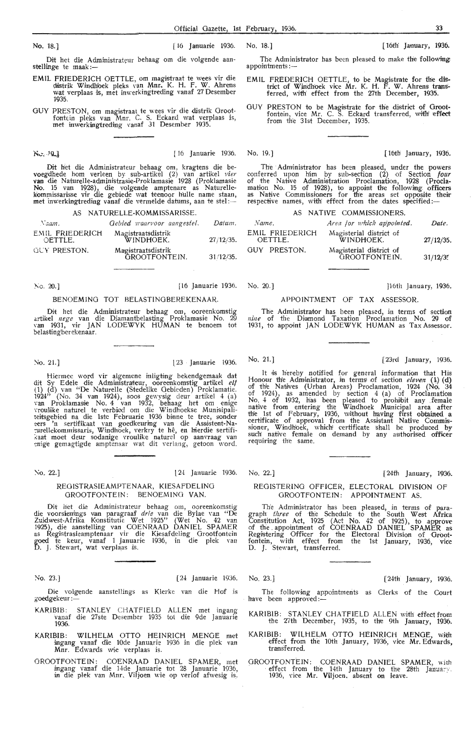No. 18.] [ 16 Januarie 1936. No. 18.] [ 16 January, 1936. 18. 1 [ 16th' January, 1936.

Dit het die Administrateur behaag om die volgende aan- stellinge te maak :-

- EMIL FRIEDERICH OETTLE, om magistraat te wees vir die distrik Windhoek pleks van Mnr. K. H. F. W. Ahrens wat verplaas is, met inwerkingtreding vanaf 27 Desember 1935.
- GUY PRESTON, om magistraat te wees vir die distrik Grootfontein pleks van Mnr. C. S. Eekard wat verplaas is, met inwerkingtreding vanaf 31 Desember 1935.

No. 10

Dit het die Administrateur behaag om, kragtens die bevoegdhede horn verleen by sub-artikel (2) van artikel *vier*  **van** die Naturelle-administrasie-Proklamasie 1928 (Proklamasie No. 15 van 1928), die volgende amptenare as Naturellekommissarisse vir die gebiede wat teenoor hulle name staan,<br><mark>m</mark>et inwerkingtreding vanaf die vermelde datums, aan te stel:—

AS NATURELLE-KOMMISSARISSE.

| Naam.                      | Gebied waarvoor aangestel.          | Datum.    |
|----------------------------|-------------------------------------|-----------|
| EMIL FRIEDERICH<br>OETTLE. | Magistraatsdistrik<br>WINDHOEK.     | 27/12/35. |
| GUY PRESTON.               | Magistraatsdistrik<br>GROOTFONTEIN. | 31/12/35. |

!\"o. 20.] [16 Januarie 1936. No. 20.] }16th January, 1936.

### BENOEMINO TOT BELASTINOBEREKENAAR.

Dit het die Administrateur behaag om, ooreenkomstig artikel *nege* van die Diamantbelasting Prnklamasie No. 29 van 1931, vir JAN LODEWYK HUMAN te benoem tot belastingherekenaar.

Hiermee word vir algemene inligting bekendgemaak dat dit Sy Edele die Administrateur, ooreenkomstig artikel elf (1) (d) van "De Naturelle (Stedelike Gebieden) Proklamatie.  $1924$ " (No. 34 van 1924), soos gewysig deur artikel 4 (a) van Proklamasie No. 4 van 1932, behaag het om enige vroulike naturel te verbied om die Windhoekse Munisipaliteitsgebied na die 1ste Februarie 1936 binne te tree, sonder<br><del>:e</del>rs 'n sertifikaat van goedkeuring van die Assistent-Na-<br><del>:</del>urellekommissaris, Windhoek, verkry te hê, en hierdie sertifikaat moet deur sodanige vroulike naturel op aanvraag van<br>enige gemagtigde amptenaar wat dit verlang, getoon word.

### No. 22.] [ 24 Januarie 1936. No. 22.] [ 24th January, 1936.

### REOISTRASIEAMPTENAAR, KIESAFDELING GROOTFONTEIN: BENOEMING VAN.

Dit het die Administrateur behaag om, ooreenkomstig die voorsienings van paragraaf *drie* van die Bylae van "De Zuidwest-Afrika Konstitutie Wet 1925'' (Wet No. 42 van<br>1925), die aanstelling van COENRAAD DANIEL SPAMER<br>as Registrasieamptenaar vir die Kiesafdeling Grootfontein goed te keur, vanaf 1 Januarie 1936, in die plek van<br>D. J. Stewart, wat verplaas is.

No. 23.] [24th Januarie 1936. No. 23.] [24th January, 1936.

Die volgende aanstellings as Klerke van die Hof is goedgekeur :-

- KARIBIB: STANLEY CHATFIELD ALLEN met ingang vanaf die 27ste Desember 1935 tot die 9de Januarie 1936.
- KARIBIB: WILHELM OTTO HEINRICH MENGE met ingang vanaf die lOde Januarie 1936 in die plek van Mnr. Edwards wie verplaas is.
- OROOTFONTEIN: COENRAAD DANIEL SPAMER, met ingang vanaf die 14de Januar.ie *tot* 28 Januarie 1936, in die plek van Mnr, Viljoen wie op- verlof afwesig is.

The Administrator has been pleased to make the following appointments:

- EMIL FREDERICH OETTLE, to be Magistrate for the district of Windhoek vice Mr. K. H. F. W. Ahrens transferred, with effect from the 27th December, 1935.
- GUY PRESTON to be Magistrate for the district of Orootfontein, vice Mr. C. S. Eckard transferred, with effect from the 31st December, 1935.

[16] 16th Januarie 1936. No. 19.] [16th January, 1936.

The Administrator has been pleased, under the powers conferred upon him by sub-section (2) of Section *four* of the Native Administration Proclamation, 1928 (Procla-<br>mation No. 15 of 1928), to appoint the following officers<br>as Native Commissioners for the areas set opposite their respective names, with effect from the dates specified:-

|                            | AS NATIVE COMMISSIONERS.                 |           |
|----------------------------|------------------------------------------|-----------|
| Name.                      | Area for which appointed.                | Date.     |
| EMIL FRIEDERICH<br>OETTLE. | Magisterial district of<br>WINDHOEK.     | 27/12/35. |
| GUY PRESTON.               | Magisterial district of<br>GROOTFONTEIN. | 31/12/35  |

### APPOINTMENT OF TAX ASSESSOR.

The Administrator has been pleased, in terms of section *nine* of the Di1amond Taxation Proclamation No. 29 of 1931, to appoint JAN LODEWYK HUMAN as Tax Assessor.

### '-io. 21. 1 l23 -Januarie 1936. No. 21.] [23rd January, 1936.

It is hereby notified for general information that His Honour the Administrator, in terms of section *eleven* (1) (d) of the Natives (Urban Areas) Proclamation, 1924 (No, 34 of 1924), as amended by section  $4$  (a) of Proclamation No. 4 of 1932, has been pleased to prohibit any female native from entering the Windhoek Municipal area after the 1st of February, 1936, without having first obtained a certificate of approval from the Assistant Native Commis-<br>sioner, Windhoek, which certificate shall be produced by such native female on demand by any authorised officer requiring the same.

### REGISTERING OFFICER, ELECTORAL DIVISION OF GROOTFONTEIN: APPOINTMENT AS.

The Administrator has been pleased, in terms of paragraph *three* of the Schedule *to* the South West Africa Constitution Act, 1925 (Act No. 42 of 1925), to approve of the . appointment of COENRAAD DANIEL SPAMER as Registering Officer for the Electoral Division of Grootfontein, with effect from the 1st January, 1936, vice fontein, with effect from the<br>D. J. Stewart, transferred.

The following appointments as Clerks of the Court have been approved:-

KARIBIB: STANLEY CHATFIELD ALLEN with effect from the 27th December, 1935, to the 9th January, 1936.

- KARIBIB: WILHELM OTTO HEINRICH MENGE, with effect from the\_ 10th January, 1936, vice Mr. Edwards, transferred.
- GROOTFONTEIN: COENRAAD DANIEL SPAMER, with effect from the 14th January to the 28th January. 1936, vice Mr. Viljoen. absent on leave.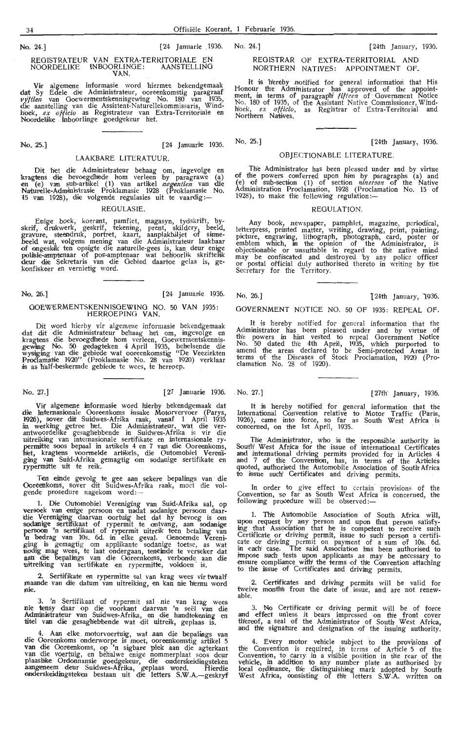No. 24.] [24th January, 1936.

REGISTRAR Of EXTRA-TERRITORIAL AND NORTHERN NATIVES: APPOINTMENT OF.

It is hereby notified for general information that His Honour the Administrator has approved of the appoint-<br>ment, in terms of paragraph<sup>[ *fifteen* of Government Notice<br>No. 180 of 1935, of the Assistant Native Commissioner, Wind-</sup> hoek, *ex officio,* as Registrar of Extra-Territorial and Northern Natives.

No. 25.] [24th January, 1936.

### No. 25.] [24 Januarie 1936. LAAKBARE LITERATUUR.

REOISTRATEUR VAN EXTRA-TERRITORIALE EN NOORDELIKE INBOORLINOE: AANSTELLINO **VAN.**  Vir algemene informasie word hiermee bekendgemaak

dat Sy Edele die Administrateur, ooreenkomstig paragraaf<br>*vyftien* van Goewermentskennisgewing No. 180 van 1935,<br>die aanstelling van die Assistent-Naturellekommissaris, Wind-<br>hoek, *ex officio* as Registrateur van Extra-Te

Noordeldke . Inboorlinge goedgekeur het.

Dit 'htet die Admunistrateur behaag om, ingevolge en kragtens di;e bevoegdbede horn verleen by paragrawe (a) en (e) van sub-artikel (1) van artikel *negentien* van die Naturelle-Administrasie Proklamasie 1928 (Proklamasie No.<br>15 van 1928), die volgende regulasies uit te vaardig:—

#### REGULASIE.

Enige boek, koerant, pamflet, magasyn, tydskrift, byskrif, drukwerk, geskrif, tekening, prent, skildery, beeld, gravure, steendruk, portret, kaart, aanplakbiljet of sinnebeeld wat, volgens mening van die Administrateur laakbaar<br>of ongeskik ten opsigte die naturelle-gees is, kan deur enige<br>polisie-amptenaar of pos-amptenaar wat behoorlik skriftelik deur die Sekretaris van die Gebied daartoe gelas is, gekonfiskeer en vernietig word.

### No. 26.] [24 Januarie 1936.

### GOEWERMENTSKENNISGEWING NO. 50 VAN 1935:

Dit word hierby vir algemene informasie bekendgemaak dat dit die Administrateur behaag het om, ingevolge en<br>kragtens die bevoegdhede hom verleen, Goewermentskennisgewing No. 50 gedagteken 4 April 1935, behelsende die<br>wysiging van die gebiede wat ooreenkomstig "De Veeziekten Proclamatie 1920'' (Proklamasie No. 28 van 1920) verklaar<br>is as half-beskermde gebiede te wees, te herroep.

Vir algemene informasie word hierby bekendgemaak dat die Internasionale Ooreenkoms insake Motorvervoer (Parys, 1926), sover dit Suidwes-Afrika raak, vanaf 1 April 1935<br>in werking getree het. Die Administrateur, wat die ver-<br>antwoordelike gesaghebbende in Suidwes-Afrika is vir die<br>uitreiking van internasionale sertifikate en interna ging van Suid-Afrika gemagtig om sodanige sertifikate en<br>rypermitte uit te reik.

Ten einde gevolg te gee aan sekere bepalings van die Ooreenkoms, sover dit Suidwes-Afrika raak, moet die volgende prosedure nagekom word:-

1. Die Outomobiel Vereniging van Suid-Afrika sal, op versoek van enrge persoon en nadat sodanige persoon daarclie Vereniging daarvan oortuig het dat hy bevoeg is om<br>sodanige sertifikaat of rypermit te ontvang, aan sodanige persoon 'n sertifikaat of rypermit uitreik teen betaling van :n bedrag van 10s... 6d. dn ,elke geval. Oenoemde Ver•eniging is gemagtig om applikante sodanige toetse, as wat<br>nodig mag wees, te laat ondergaan, teneinde te verseker dat<br>aan die bepalings van die Ooreenkoms, verbonde aan die uitreiking van sertifikate en rypermitte, voldoen is.

2. Sertifikate en rypermitte sal van krag wees vir twaalf maande van die datum van uitreiking, en kan nie hernu word nie.

3. 'n Sertifikaat of rypermit sal nie van krag wees nie tensy daar op die voorkant daarvan 'n seël van die Administrateur van Suidwes-Afrika, en die handtekening en titel van die gesaghebbende wat dit uitreik, geplaas is.

4. Aan elke motorvoertuig, wat aan die bepalings van die Ooreenkoms onderworpe is moet, ooreenkomstig artikel 5 van die Ooreenkoms, op 'n sigbare plek aan die agterkant<br>van die voertuig, en behalwe enige nommerplaat soos deur plaaslike Ordonnansie goedgekeur, die onderskeidingsteken aangeneem deur Suidwes-Afrika, geplaas word. Flierdie<br>onderskeidingsteken bestaan uit die letters S.W.A.—geskryf OBJECTIONABLE LITERATURE.

The Administrator has been pleased under and by virtue of the powers conferred upon him by paragraphs (a) and (e) of sub-section (1) of section *nineteen* of the Native Administration Proclamation, 1928 (Proclamation No. 15 of<br>1928), to make the following regulation:—

#### REGULATION.

Any book, newspaper, pamphlet, magazine, periodical, letterpress, printed matter, writing, drawing, print, painting,<br>picture, engraving, lithograph, photograph, card, poster or<br>emblem which, in the opinion of the Administrator, is objectionable or unsuitable in regard to the native mind may be confiscated and destroyed by any police officer<br>or postal official duly authorised thereto in writing by the Secretary for th'e Territory.

GOVERNMENT NOTICE NO. 50 Of 1935: REPEAL Of.

It •is hereby notified for general information that the Administrator has been pleased under and by virtue of the powers in him vested to repeal Government Notice No. 50 dated the 4th April, 1935, which purported to amend the areas declared to be Semi-protected Areas in terms of the Diseases of Stock Proclamation, 1920 (Proclamation No. 28 of 1920).

No. 27.] [27 Januarie 1936. . No. 27.] [27th January, 1936.

It is hereby notified for general information that the International Convention relative to Motor Traffic (Paris, 1926), came into force, so far as South West Africa is concerned, on the 1st April, 1935.

The Administrator, who is the responsible authority in South West Africa for the issue of international Certificates and international driving permits provided for in Articles 4<br>and 7 of the Convention, has, in terms of the Articles quoted, authorised the Automobile Association of South-Africa<br>to issue such' Certificates and driving permits.

In order to give effect to certain provisions of the Convention, so far as South West Africa is concerned, the<br>following procedure will be observed:—

1. The Automobile Association of South Africa will, upon request by any person and upon that person satisfying that Association that he is competent to receive such Certificate or driving permit, issue to such person a certificate or driving permit on payment of a sum of 10s. 6d.<br>in each case. The said Association has been authorised to impose such tests upon applicants as may be necessary to ensure compliance with the terms of the Convention attaching to the issue of Certificates and driving permits.

**2.** Certificates and driving permits will be valid for twelve months from the date of issue, and are not renew-<br>able.

3. No Certificate or driving permit will be of force and effect unless it bears impressed on the front cover thereof, a seal of the Administrator of South West Africa, and th'e signature and designation of the issuing authority.

4. Every motor vehicle subject to the provisions of the Convention is required, in terms of Article 5 of the<br>Convention, to carry in a visible position in the rear of the vehicle, in addition to any number plate as authorised by local ordinance, the distinguishing mark adopted by South West Africa, consisting of th'e letters S.W.A. written on

No. 26.] **124th January, 1936.**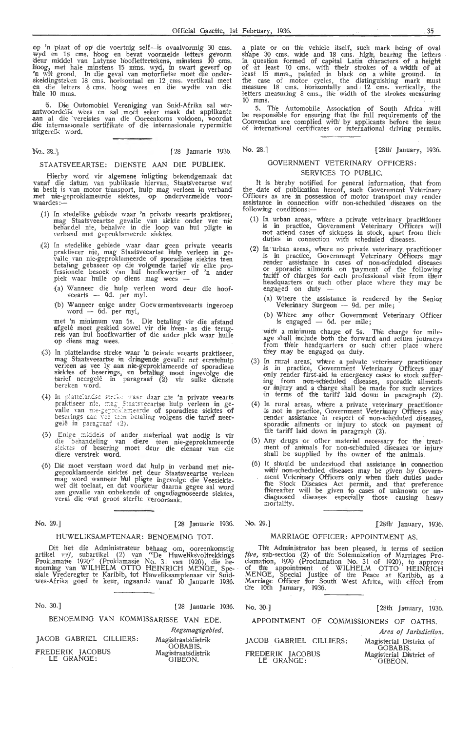op 'n plaat of op die voertuig self-is ovaalvormig 30 cms. wyd en 18 cms. hoog en bevat voormelde letters gevorm<br>deur middel van Latynse hooflettertekens, minstens 10 cms.<br>hoog, met hale minstens 15 mms. wyd, in swart geverf op 'n wit grond. In die geval van motorfietse moet die onderskeidingsteken 18 cms. horisontaal en 12 cms. vertikaal meet<br>en die letters 8 cms. hoog wees en die wydte van die n'ale 10 mms.

'5. Die Outomobiel Vereniging van Suid-Afrika sal ver- :antwoordelik wees en sal . moet seker maak dat arplikante aan al die vereistes van die Ooreenkoms voldoen, voordat<br>die internasionale sertifikate of die internasionale rypermitte uitgereik word.

 $N_2$ , 28.

[28 Januarie 1936.

### STAATSVEEARTSE: DIENSTE AAN DIE PUBLIEK.

Hierby word vir algemene inligting bekendgemaak dat vanaf die datum van publikasie hiervan, Staats'veeartse wat in besit is van motor transport, hulp mag verleen in verband<br>met nie-geproklameerde siektes, op ondervermelde voor-<br>waardes:---

- (1) In stedelike gebiede waar 'n private veearts praktiseer, mag Staatsveeartse gevalle van siekte onder vee nie behandel nie, behalwe in die loop van hul pligte in verband met geproklameerde siiektes.
- (2) In stedelike gebiede waar daar geen private veearts praktiseer nie, mag Staatsveeartse hulp verleen in gevalle van nie-geproklameerde of sporadiese siektes teen betaling gebaseer op die volgende tarief vir elke pro-<br>fessionele besoek van hul hoofkwartier of 'n ander plek waar hulle op diens mag wees
	- (a) Wanneer die hulp verleen word deur die hoof-veearts - 9d. per myl.
	- (b) Wanneer enige ander Goewermentsveearts ingeroep word - 6d. per myl,

met 'n minimum van 5s. Die betaling vir die afstand<br>afgelê moet geskied sowel vir die h'een- as die terugreis van hul hoofkwartier of die ander plek waar hulle op diens mag wees.

- (3) In plattelandse streke waar 'n private veearts praktiseer, mag Staatsveeartse in dringende gevalle net eerstehulp<br>verleen as vee ly aan nie-geproklameerde of sporadiese<br>siektes of beserings, en betaling moet ingevolge die tarief neergelê in paragraaf (2) vir sulke dienste bereken word.
- (4) In plattelandse streke waar daar nie 'n private veearts praktiseer nie, mag Staatsveeartse hulp verleen in ge-<br>valle van nie-geproklameerde of sporadiese siektes of beserings aan vee teen betaling volgens die tarief neer-<br>gelê in paragraaf (2).
- (5) Enige middels of ander materiaal wat nodig is vir die behandeling van diere teen nie-geproklameerde siektes of besering moet deur die eienaar van die<br>diere verstrek word.
- (6) Dit moet verstaan word dat hulp in verband met nie-<br>geproklameerde siektes net deur Staatsveeartse verleen mag word wanneer hul pligte ingevolge die Veesiekte-<br>wet dit toelaat, en dat voorkeur daarna gegee sal word aan gevalle van onbekende of ongediagnoseerde siektes,<br>veral die wat groot sterfte veroorsaak.

No. 29.] [28 Januarie 1936.

### HUWELIKSAMPTENAAR: BENOEMING TOT.

Dit het die Administrateur behaag om, ooreenkomstig .<br>artikel *vyf*, subartikel (2) van '<sup>e</sup>De Huweliks'voltrekkings Proklamatie 1920'' (Proklamasie No. 31 van 1920), die benoeming van WILHELM OTTO HEINRICH MENGE, Spesiale Vrederegter te Karibib, tot Huweliksamptenaar vir Suidwes-Afrika goed te keur, ingaande vanaf 10 Januarie 1936.

| No. 30.1                       | [28 Januarie 1936.                   |
|--------------------------------|--------------------------------------|
|                                | BENOEMING VAN KOMMISSARISSE VAN EDE. |
|                                | Regsmagsgebied.                      |
| JACOB GABRIEL CILLIERS:        | Magistraats'distrik                  |
|                                | <b>GOBABIS.</b>                      |
| FREDERIK JACOBUS<br>LE GRANGE: | Magistraatsdistrik<br>GIBEON,        |

a plate or on the vehicle itself, such mark being of oval shape 30 cms. wide and 18 cms. high, bearing the letters<br>in question formed of capital Latin characters of a height<br>of at least 10 cms. with their strokes of a width of at<br>least 15 mms., painted in black on a white ground. the case of motor cycles, the distinguishing mark must measure 18 cms. horizontally and 12 oms. vertically, the letters measuring 8 cms., the width of the strokes measuring 10 mms.

5. The Automobile Association of South Africa will be responsible for ensuring that the full requirements of the Convention are complied with by applicants before the issue of international certificates or international driving permits.

No. 28.] [28th' January, 1936.

### GOVERNMENT VETERINARY OFFICERS: SERVICES TO PUBLIC.

It is hereby notified for general information, that from<br>the date of publication hereof, such Government Veterinary Officers as are in possession of motor transport may render assistance in connection with non-scheduled diseases on the following-conditions:-

- (1) In urban areas, where a private veterinary practitioner is in practice, Government Veterinary Officers will not attend cases of sickness in stock, apart from their duties in connection with scheduled diseases.
- (2) In urban areas, where no private veterinary practitioner is in practice, Government Veterinary Officers may render assistance in cases of non-scheduled diseases<br>or sporadic ailments on payment of the following tariff of ch'arges for each professional visit from their<br>headquarters or such other place where they may be headquarters or such other place where they may be engaged on duty -
	- (a) Where the assistance is rendered by the Senior Veterinary Surgeon — 9d. per mile;
	- (b) Where any other Government Veterinary Officer is engaged  $-$  6d. per mile;

with a minimum charge of 5s. The charge for mileage shall include both the forward and return journeys from their headquarters or such other place where they may be engaged on duty.

- (3) In rural areas, where a private veterinary practitioner is in practice, Government Veterinary Officers may<br>'only render first-aid in emergency cases to stock suffering from non-scheduled diseases, sporadic ailments<br>or injury and a charge shall be made for such services in terms of the tariff laid down in paragraph (2).
- (4) In rural areas, wh'ere a private veterinary practitioner is not in practice, Government Veterinary Officers may render assistance in respect of non-scheduled diseases, sporadic ailments or injury to stock on payment of<br>the tariff laid down in paragraph (2).
- (5) Any drugs or other material necessary for the treatment of animals for non-scheduled diseases or injury shall be supplied by the owner of the animals.
- $(6)$  It should be understood that assistance in connection with' non-scheduled diseases may be given by Government Veterinary Officers only when their duties under the Stock Diseases Act permit, and that preference thereafter will be given to cases of unknown or undiagmosed diseases especially those causing heavy<br>mortality.

No. 29.] 128th' January, 1936.

### MARRIAGE OFFICER: APPOINTMENT AS.

The Administrator has been pleased, in terms of section *(ive*, sub-section (2) of the Solemnization of Marriages Proclamation, 1920 (Proclamation No. 31 of 1920), to approve of the appointment of WILHELM OTTO HEINRICH MENGE, Special Justice of the Peace at Karibib, as a<br>Marriage Officer for South West Africa, with effect from<br>the 10th January, 1936.

| No. 30.1                               | [28th January, 1936.                       |
|----------------------------------------|--------------------------------------------|
| APPOINTMENT OF COMMISSIONERS OF OATHS. |                                            |
|                                        | Area of Jurisdiction.                      |
| JACOB GABRIEL CILLIERS:                | Magisterial District of<br><b>GOBABIS.</b> |
| FREDERIK JACOBUS<br>LE GRANGE:         | Magisterial District of<br>GIBEON.         |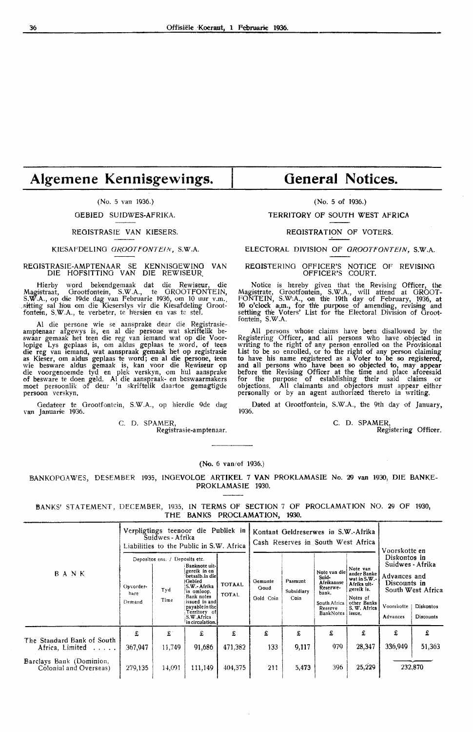### **Algemene Kennisgewings.**

### (No. 5 van 1936.)

OEBIED SUIDWES-AFRIKA.

#### REOISTRASIE VAN KIESERS.

### KIESAFDELING GROOTFONTEIN, S.W.A.

REGISTRASIE-AMPTENAAR SE KENNISOEWINO VAN DIE HOFSITTINO VAN DIE REWISEUR.

Hierby word bekendgemaak dat die Rewiseur, die Mag;istraat, Orootfontein, S.W.A., te OROOTFONTEIN, S.W.A., op die 19de dag van Februarie 1936, om 10 uur v.m., \_sitting sal hou om die Kieserslys vir die Kiesafdeling Grootfontein, S.W.A., te verbeter, te hersien en vas te stel.

Al die persone wie se aansprake deur die Registrasieamptenaar afgewys is, en al die persone wat skriftelik be-<br>swaar gemaak het teen die reg van iemand wat op die Voorlopige Lys geplaas is, om aldus geplaas te word. of teen **die** reg van iemand, wat aanspraak gemaak het op registrasie as Kieser, om aldus geplaas te word; en al die persone, teen wie besware aldus gemaak is, kan voor die Rewiseur op die voorgenoemde tyd en p1ek verskyn, om hul aansprake of besware te doen geld. Al die aanspraak- en beswaarmakers moet persoonlik of deur 'n skriftelik daartoe gemagtigde persoon verskyn,

Gedateer te Grootfontein, S.W.A., op hierdie 9de dag van Januarie 1936.

C. D. SPAMER,

Registrasie-a mptenaar.

### **General Notices.**

(No. 5 of 1936.)

TERRITORY OF SOUTH WEST AFRICA

REGISTRATION OF VOTERS.

ELECTORAL DIVISION OF GROOTFONTEIN, S.W.A.

REGISTERING OFFICER'S NOTICE OF REVISING OFFICER'S COURT.

Notice is hereby given that the Revising Officer, the Magistrate, Grootfontein, S.W.A., will attend at GROOT-<br>FONTEIN, S.W.A., on the 19th day of February, 1936, at 10 o'clock a.m., for the purpose of amending, revising and settling the Voters' List for the Electoral Division of Grootfontein, S.W.A.

All persons whose claims have been disallowed by the Registering Officer, and all persons who have objected in writing to the right of any person enrolled on the Provisional List *to* be so enrolled, or to the right of any person claiming to have his name registered as a Voter to be so registered, and all persons who have been so objected to, may appear before the Revising Officer at the time and place aforesaid<br>for the purpose of establishing their said claims or<br>objections. All claimants and objectors must appear either personally or by an agent authorized thereto in writing.

Dated at Grootfontein, S.W.A., the 9th day of January, 1936.

C. D. SPAMER,

Registering Officer.

### (No. 6 van/of 1936.)

BANKOPOAWES, DESEMBER 1935, INOEVOLGE . ARTIKEL 7 **VAN** PROKLAMASIE No. 29 van 1930, DIE BANKE-PROKLAMASIE 1930.

BANKS' STATEMENT, DECEMBER, 1935, IN TERMS OF SECTION 7 OF PROCLAMATION NO. 29 OF 1930, THE **BANKS PROCLAMATION, 1930.** 

|                                                    | Verpligtings teenoor die Publiek in<br>Suidwes - Afrika<br>Liabilities to the Public in S.W. Africa |                                               |                                                                                                                                                                                                   |                               | Kontant Geldreserwes in S.W.-Afrika<br>Cash Reserves in South West Africa                                                                                                                                                                                                                       |            |                        |                                                                                                                        | Voorskotte en |             |
|----------------------------------------------------|-----------------------------------------------------------------------------------------------------|-----------------------------------------------|---------------------------------------------------------------------------------------------------------------------------------------------------------------------------------------------------|-------------------------------|-------------------------------------------------------------------------------------------------------------------------------------------------------------------------------------------------------------------------------------------------------------------------------------------------|------------|------------------------|------------------------------------------------------------------------------------------------------------------------|---------------|-------------|
| BANK                                               | Opvorder-<br>bare<br>Demand                                                                         | Depositos ens. / Deposits etc.<br>Tyd<br>Time | Banknote uit-<br>gereik in en<br>betaalb.in diel<br><b>Gebied</b><br>S.W.- Afrika<br>in omloop.<br>Bank notes<br>issued in and<br>payable in the<br>Territory of<br>S.W.Africa<br>in circulation. | <b>TOTAAL</b><br><b>TOTAL</b> | Note van<br>Note van die<br>ander Banke<br>Suid-<br>wat in $S.W.$<br>Pasmunt<br>Gemunte<br>Afrikaanse<br>Afrika uit-<br>Reserwe-<br>Goud<br>gereik is.<br>Subsidiary<br>bank.<br>Notes of<br>Coin<br>Gold Coin<br>South Africa<br>other Banks<br>S. W. Africa<br>Reserve<br>BankNotes<br>issue, |            | Voorskotte<br>Advances | Diskontos in<br>Suidwes - Afrika<br>Advances and<br>Discounts in<br>South West Africa<br>Diskontos<br><b>Discounts</b> |               |             |
| The Standard Bank of South<br>Africa, Limited      | £<br>367,947                                                                                        | $\mathbf{f}$<br>11,749                        | £<br>91,686                                                                                                                                                                                       | £<br>471,382                  | £<br>133                                                                                                                                                                                                                                                                                        | £<br>9,117 | £<br>979.              | £<br>28,347                                                                                                            | £<br>336,949  | £<br>51,363 |
| Barclays Bank (Dominion,<br>Colonial and Overseas) | 279,135                                                                                             | 14,091                                        | 111,149                                                                                                                                                                                           | 404.375                       | 211                                                                                                                                                                                                                                                                                             | 5,473      | 396                    | 25,229                                                                                                                 |               | 232,870     |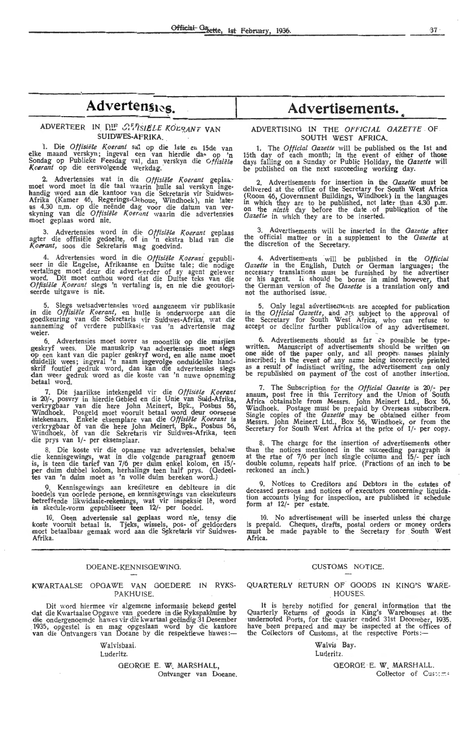### Advertens<sub>10s.</sub>

### ADVERTEER IN DIE CHASIELE KOLPANT VAN SUIDWES-AFRIKA.

1. Die *Offisiële Koerant* sal op die 1ste en 15de van<br>elke maand verskyn; ingeval een van hierdie da<sub>^ Op</sub> 'n elke maand verskyn; ingeval een van hierdie das op 'n Sondag op Publieke Feesdag val, dan verskyn die *Gffisiële*<br>Koerant op die eersvolgende werkdag.

2. Advertensies wat in die *Offisiële Koerant* geplaa..<sup>.</sup><br>moet word moet in die taal waarin hulle sal verskyn ingehandig word aan die kantoor van die Sekretaris vir Suidwes- Afrika (Kamer 46, Regerings-G~boue, Windhoek), nie later as 4.30 n.m. op die neënde dag voor die datum van ver-<br>skyning van die *Offisiële Koerant* waarin die advertensies moet geplaas word nie.

3. Advertensies word in die *Offisiële Koerant* geplaas<br>agter die offisiële gedeelte, of in 'n ekstra blad van die<br>*Koerant,* soos die Sekretaris mag goedvind.

4. Advertensies word in die Offisiële Koerant gepubli-<br>seer in die Engelse, Afrikaanse en Duitse tale; die nodige vertalinge moet deur die adverteerder of sy agent gelewer word. Dit moet onthou word cfat die Duitse teks van die *Offisiële Koerant* slegs 'n vertaling is, en nie die geoutori-<br><del>see</del>rde uitgawe is nie.

5. Slegs wetsadvertensies word aangeneem vir publikasie in die *Offisiële Koerant*, en hulle is onderworpe aan die goedkeuring van die Sekretaris vir Suidwes-Afrika, wat die aanneming of verdere publikasie van 'n advertensie mag weier.

6. Advertensies moet sover as moontlik op die masjien geskryf wees. Die manuskrip van advertensies moet slegs<br>op een kant van die papier geskryf word, en alle name moet duidelik wees; ingeval 'n naam ingevolge onduidelike handskrif foutief gedruk word, dan kan d<del>i</del>e advertensies sl<del>e</del>gs<br>dan weer gedruk word as die koste van 'n nuwe opneming betaal word.

7. Die jaarlikse intekengeld vir die Offisiële Koerant is 20/-, posvry in hierdie Gebied en die Unie van Suid-Afrika, verkrygbaar van die here John Meinert, Bpk., Posbus 56, Windhoek. Posgeld moet vooruit betaal word deur oorseese<br>intekenaars. Enkele eksemplare van die *Offisiële Koerant* is verkrygbaar of van die here John Meinert, Bpk., Posbus 56, Windhoek, of van die Sekretaris vir Suidwes-Afrika, teen die prys van 1/- per eksemplaar.

8. Die koste vir die opname van advertensies, behalwe die kennisgewings, wat in die volgende paragraaf genoem<br>is, is teen die tarief van 7/6 per duim enkel kolom, en 15/per duim dubbel kolom, herhalings teen half prys. (Oedeeltes van 'n duim moet as 'n volle duim bereken word.)

9. Kennisgewings aan krediteure en debiteure in die boedels van oorlede persone, en kennisgewings van eksekuteurs<br>betreffende likwidasie-rekenings, wat vir inspeksie lê, word in skedule-vorm gepubliseer teen 12/- per boedel.

10. Geen advertensie sal geplaas word nie, tensy die koste vooruit betaal is. Tjeks, wissels, pos- of geldorders moet betaalbaar gemaak word aan die Sekretaris vir Suidwes-Afrika.

### DOEANE-KENNISGEWINO.

### KWARTAALSE OPGAWE VAN GOEDERE IN RYKS-PAKHUISE.

Dit word hiermee vir algemene informasie bekend gestel dat die Kwartaalse Opgawe van goedere in die Rykspakhuise by dte ondergenoemde harmoe ondergens van die kantore van die Ontvangers van Doeane by die respektiewe hawes :-

Walvisbaai.

### Luderitz.

GEORGE E. W. MARSHALL, Ontvanger van Doeane.

## $\overline{A}$  dvertens... Advertisements.

### ADVERTISING IN THE *OFFICIAL* GAZETTE . OF SOUTH WEST **AFRICA.**

1. The *Official Gazette* will be published on the 1st and 15th day of each month; in the event of either of those days falling on a Sunday or Public Holiday, the *Gazette* will<br>be published on the next succeeding working day.

2. Advertisements for insertion in the *Gazette* must be delivered at the office of the Secretary for South West Africa<br>(Room 46, Government Buildings, Windhoek) in the languages<br>in which they are to be published, not later than 4.30 p.m.<br>on the *ninth* day before the date of pu *Gazette* in which they are *to* be inserted.

3. Advertisements will be inserted in the *Gazette* after the official matter or in a supplement to the *Gazette* at the discretion of the Secretary.

4. Advertisements will be published in the *Official Gazette* in the English, Dutch or German languages; the necessary translations must be furnished by the advertiser<br>or his agent. It should be borne in mind however, that the German version of the *Gazette* is a translation only and not the authorised issue,

5. Only legal advertisements are accepted for publication<br>in the *Official Gazette*, and  $\partial f$ t subject to the approval of the Secretary for South West Africa, who can refuse to accept or decline further publication of any advertisement.

6. Advertisements should as far as possible be type--<br>written. Manuscript of advertisements should be written on one side of the paper only, and all proper names plainly inscribed; in the event of any name being incorrectly printed as a result 1>f indistinct writing, the advertisement can only be republished on payment of the cost of another insertion.

7. The Subscription for the *Official Gazeite* is 20/- per annum, post free in this Territory and the Union of South Africa obtainable from Messrs. John Meinert Ltd., Box 56, Windhoek. Postage must be prepaid by Overseas subscribers.<br>Single copies of the *Gazette* may be obtained either from Messrs. John Meinert Ltd., Box 56, Windhoek, or from the Secretary for South West Africa at the price of 1/- per copy.

8. The charge for the insertion of advertisements other than the notices mentioned in the succeeding paragraph is at the rtae of 7/6 per inch single column and 15/- per inch double column, repeats half price. (Fractions of an inch to be reckoned an inch.)

9. Notices to Creditors and Debtors in the estates of deceased persons and notices of executors concerning liquidation accounts lying for inspection, are published in schedule form at 12/- per estate.

10. No advertisement will be inserted unless the charge is prepaid. Cheques, drafts, postal orders or money orders must be made payable to the Secretary for South West **Africa.** 

### CUSTOMS NOTICE.

### QUARTERLY RETURN OF GOODS IN KING'S WARE-HOUSES.

**It** is hereby notified for general information that the Quarterly Returns of goods in King's Warehouses at the undernoted Ports, for the quarter ended 31st December, 1935.<br>have been prepared and may be inspected at the offices of the Collectors of Customs, at the respective Ports:-

### Walvis Bay. Luderitz.

GEORGE E. W. MARSHALL. Collector of Customs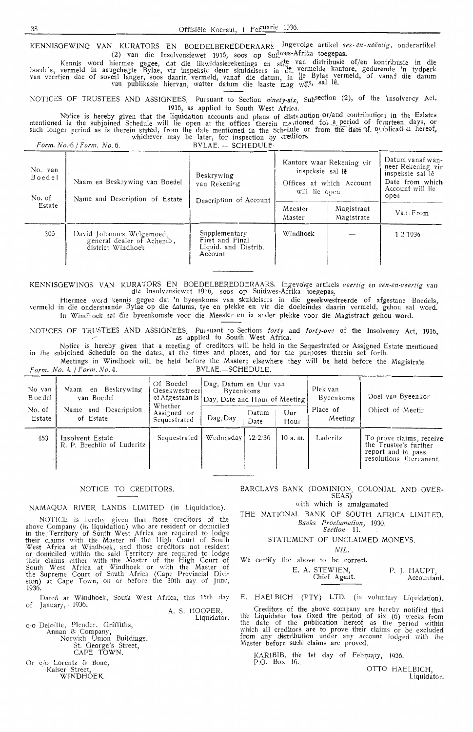KENNISGEWING VAN KURATORS EN BOEDELBEREDDERAARt Ingevolge artikel ses-en-neëntig, onderartikel (2) van die Insolvensiewet 1916, soos op Sui<sup>lwes-Afrika toegepas.</sup>

Kennis word hiermee gegee, dat die likwidasierekenings en st<sup>re van</sup> distribusie of/en kontribusie in die boedels, vermeld in aangehegte Bylae, vir inspeksie deur skuldeisers in d<sup>e</sup> vermelde kantore, gedurende 'n tydperk van veertien dae of soveel langer, soos daarin vermeld, vanaf die datum, in d<sup>e Bylae</sup> vermeld, of vanaf die datum van publikasie hiervan, watter datum die laaste mag we<sup>es, sal le.</sup>

~OTICES OF TRUSTEES AND ASSIGNEES. Pursuant to Section *ninety-six,* Subsection (2), of the '1nsolver.cy Act. 1916, as applied to South West Africa.

Notice is hereby given that the liquidation accounts and plans of distribution or/and contribution in the Estates<br>mentioned in the subjoined Schedule will lie open at the offices therein meationed for a period of fourteen such longer period as is therein stated, from the date mentioned in the Schedule or from the date of publication hereof, whichever may be later, for inspection by creditors.

| Form. No. 6 / Form. No. 6.  |                                                                              | $BYLAE. - SCHEDULE$                                                 |                                                                                            |                          |                                                                                                          |
|-----------------------------|------------------------------------------------------------------------------|---------------------------------------------------------------------|--------------------------------------------------------------------------------------------|--------------------------|----------------------------------------------------------------------------------------------------------|
| No. van<br>Boedel<br>No. of | Naam en Beskrywing van Boedel<br>Name and Description of Estate              | Beskrywing<br>van Rekening<br>Description of Account                | Kantore waar Rekening vir<br>inspeksie sal lê<br>Offices at which Account<br>will lie open |                          | Datum vanaf wan-<br>neer Rekening vir<br>inspeksie sal lê<br>Date from which<br>Account will lie<br>open |
| Estate                      |                                                                              |                                                                     | Meester<br>Master                                                                          | Magistraat<br>Magistrate | Van From                                                                                                 |
| 305                         | David Johannes Welgemoed,<br>general dealer of Achenib,<br>district Windhoek | Supplementary<br>First and Final<br>Liquid. and Distrib.<br>Account | Windhoek                                                                                   |                          | 1 2 1 9 3 6                                                                                              |

KENNISGEWINGS VAN KURATORS EN BOEDELBEREDDERAARS. Ingevolge artikels *veertig* en *een-en-veertig* van die lnsolvensiewet 1916, soos op Suidwes-Afrika toegepas,

Hiermee word kennis gegee dat 'n byeenkoms van skuldeisers in die gesekwestreerde of afgestane Boedels, vermeld in die onderstaande Bylae op die datums, tye en plekke en vir die doeleindes daarin vermeld, gehou sal word. In Windhoek sa! die byeenkomste voor die Meester en in ander plekke voor die Magistraat gehou word.

l\OTICES Of TRUSTEES AND ASSIGNEES. Pursuant to Sections *forty* and *forty-one* of the Insolvency Act, 1916, as applied to South West Africa.

Notice is hereby given that a meeting of creditors will be held in the Sequestrated or Assigned Estate mentioned in the subjoined Schedule on the date3, at the times and places, and for the purposes therein set forth. Meetings in Windhoek will be held before the Master; elsewhere they will be held before the Magistrate.

*Form. No. 4. / Form. No. 4.* **BYLAE.**-SCHEDULE.

| No. van<br>B oe del<br>No. of<br>Estate | Beskrywing<br>Naam en<br>van Boedel<br>Name and Description<br>of Estate | Of Boedel<br>Gesekwestreer<br>of Afgestaan is   Day, Date and Hour of Meeting !<br>Whether<br>Assigned or<br>Sequestrated | Dag, Datum en Uur van<br>Byeenkoms<br>$\text{Dag}/\text{Day}$ | Datum<br>Date | Uur<br>Hour | Plek van<br>Byeenkoms<br>Place of<br>Meeting | Doel van Byeenkor<br>Object of Meetir                                                              |
|-----------------------------------------|--------------------------------------------------------------------------|---------------------------------------------------------------------------------------------------------------------------|---------------------------------------------------------------|---------------|-------------|----------------------------------------------|----------------------------------------------------------------------------------------------------|
| 453                                     | Insolvent Estate<br>R. P. Brechlin of Luderitz                           | Sequestrated                                                                                                              | Wednesdav                                                     | 12/2/36       | 10a.m.      | Luderitz                                     | To prove claims, receive<br>the Trustee's further<br>report and to pass<br>resolutions thereanent. |

### NOTICE TO CREDITORS.

NAMAQUA RIVER LANDS LIMITED (in Liquidation).

NOTICE is hereby given that those creditors of the above Company (in liquidation) who are resident or domiciled in the Territory of South West Africa are required to lodge their claims with the Master of the High Court of South West Africa at Windhoek, and those creditors not resident or domiciled within the said Territory are required to lodge their claims either with the Master of the High Court of South W est Africa at Windhoek or with the Master of the Supreme Court of South Africa (Cape Provincial Division) at Cape Town, on or before the 30th day of June, 1936.

Dated at Windhoek, South West Africa, this 15th day of January, · 1936.

A. S. HOOPER, Liquidator.

c;o Deloitte, Plender. Griffiths, Annan & . Company, Norwich Union Buildings, St George's Street, CAPE TOWN.

Or c/o Lorentz & Bone, Kaiser Street, WINDHOEK.

BARCLAYS BANK (DOMINION, COLONIAL AND OVER-SEAS)

with which is amalgamated

THE NATIONAL BANK OF SOUTH AFRICA LIMITED. *Banks Proclamation,* 1930. *Section* 11.

STATEMENT OF UNCLAIMED MONEYS.

 $NII$ .

We certify the above to be correct.

E. A. STEWIEN, Chief Agent. P. J. HAUPT, Accountant.

E. HAELBICH (PTY) LTD. (in voluntary · Liquidation).

Creditors of the above company are hereby notified that the Liquidator has fixed the period of six  $(6)$  weeks from the date of the publication hereof as the period within which all creditors are *to* prove their claims or be excluded from any distribution under any account lodged \\'ith the Master before such claims are proved.

KARIBIB, the 1st day of February, 1936. P.O. Box 16.

OTTO HAELBICH, Liquidator,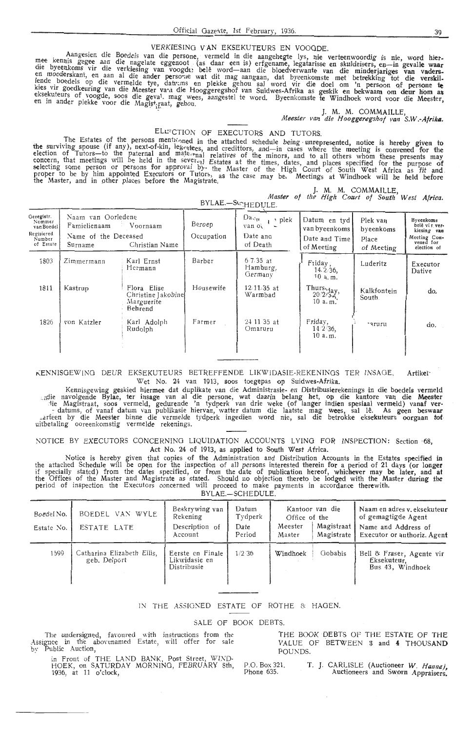### VERKIESING VAN EKSEKUTEURS EN VOOGDE.

Aangesien die boedels van die persone, vermeld in die aangehegte lys, nie verteenwoordig is nie, word hier-<br>mee kennis gegee aan die nagelate eggenoot (as daar een is) erfgename, legatarisse en skuldeisers, en—in gevalle w kies vir goedkeuring van die Meester va•,i die Hooggeregshof van Suidwes-Afrika as geskik en bekwaam om deur hom as eksekuteurs of voogde, soos die geval. mag wees, aangestel te word. Byeenkomste te Windhoek word voor die Meester,<br>en in ander plekke voor die Magist<sub>a</sub>raat, gehou.

> **J. M. M. COMMAILLE,**  *Meester van die Hooggeregshof van* **S.W.•Afrika.**

> > J. M. M. COMMAILLE,

### ELLECTION OF EXECUTORS AND TUTORS.

The Estates of the persons mentry and in the attached schedule being unrepresented, notice is hereby given to the surviving spouse (if any), next-of-kin, leg-atees, and credittors, and-in cases where the meeting is convened for the election of Tutors—to the paternal and mate-rnal relatives of the minors, and to all others whom these presents may concern, that meetings will be held in the sever,<sup> $4$ l</sup> Estates at the times, dates, and places specified for the purpose of selecting some person or persons for approval by. the Master of the High Court of South West Africa as fit and<br>proper to be by him appointed Executors or Tutors, as the case may be. Meetings at Windhoek will be held before

| pilal-sc;HEDULE.                                                        |                                                                       |                                                            |                      |                                                              |                                                              |                                              |                                                                                       |  |
|-------------------------------------------------------------------------|-----------------------------------------------------------------------|------------------------------------------------------------|----------------------|--------------------------------------------------------------|--------------------------------------------------------------|----------------------------------------------|---------------------------------------------------------------------------------------|--|
| Geregistr.<br>Nommer<br>van Boedel<br>Regisiered<br>Number<br>of Estate | Naam van Oorledene<br>Famielienaam<br>Name of the Deceased<br>Surname | Voornaam<br>Christian Name                                 | Beroep<br>Occupation | Da <sub>11</sub><br>, plek<br>van ot<br>Date and<br>of Death | Datum en tyd<br>van byeenkoms<br>Date and Time<br>of Meeting | Plek van<br>byeenkoms<br>Place<br>of Meeting | Byeenkoms<br>belê vir ver-<br>kiesing van<br>Meeting Con.<br>vened for<br>election of |  |
| 1803                                                                    | Zimmermann                                                            | Karl Ernst<br>Hermann                                      | Barber               | $6.7.35$ at<br>Hamburg,<br>Germany                           | Friday,<br>14.2.36.<br>$10a$ , m.                            | Luderitz                                     | Executor<br>Dative                                                                    |  |
| 1811                                                                    | Kastrup                                                               | Flora Elise<br>Christine Jakobine<br>Marguerite<br>Behrend | Housewife            | $12/11/35$ at<br>Warmbad                                     | Thurs $\frac{1}{20/2}$<br>10 a.m.                            | Kalkfontein<br>South.                        | do.                                                                                   |  |
| 1826                                                                    | von Katzler                                                           | Karl Adolph<br>Rudolph                                     | Farmer               | 24 11 35 at<br>Omaruru                                       | Friday,<br>$14.2/36$ ,<br>10 a.m.                            | aruru <sup>.</sup>                           | do.                                                                                   |  |

l(ENNISGE\VING DEUR EKSEKUTEURS BETREFFENDE LIKWJDASIE-REKENINGS TER INSAGE. **Artiket·** 

Wet No. 24 van 1913, soos toegepas op Suidwes-Afrika.<br>Kennisgewing geskied hiermee dat duplikate van die Administrasie- en Distribusierekenings in die boedels vermeld Kennisgewing geskied hiermee dat duplikate van die Administrasie- en Distribusierekenings in die boedels vermeld<br>ie navolgende Bylae, ter insage van al die persone, wat daarin belang het, op die kantore van die Meester:<br>ie - datums, of vanaf datum van publikasie hiervan, watter datum die laatste mag wees, sal lê. As geen beswaar -<br>- arfeen by die Meester binne die vermelde tydperk ingedien word nie, sal die betrokke eksekuteurs oorgaan tot<br>-

NOTICE BY EXECUTORS CONCERNING LIQUIDATION ACCOUNTS LYING FOR INSPECTION: Section 68, Act No. 24 of 1913, as applied to South West Africa.

Notice is hereby given that copies of the Administration and Distribution Accounts in the Estates specified in the attached Schedule will be open for the inspection of all persons interested therein for a period of 21 days (or longer if specially stated) from the dates specified, or from the date of publication hereof, whichever may be later, and **at**  the Offices of the Master and Magistrate as stated. Should no objection thereto be lodged with the Master during the period of inspection the Executors concerned will proceed *to* make payments in accordance therewith. BYLAE.-SCHEDULE.

| Boedel No.<br>Estate No. | BOEDEL VAN WYLE<br>ESTATE LATE             | Beskrywing van<br>Rekening<br>Description of<br>Account | Datum<br>Tydperk<br>Date<br>Period | Office of the<br>Meester<br>Master | Kantoor van die<br>Magistraat<br>Magistrate 1 | Naam en adres v. eksekuteur<br>of gemagtigde Agent<br>Name and Address of<br>Executor or authoriz. Agent |
|--------------------------|--------------------------------------------|---------------------------------------------------------|------------------------------------|------------------------------------|-----------------------------------------------|----------------------------------------------------------------------------------------------------------|
| 1599                     | Catharina Elizabeth Ellis,<br>geb. Delport | Eerste en Finale<br>Likwidasie en<br>Distribusie        | 1/2.36                             | Windhoek                           | Gobabis                                       | Bell & Fraser, Agente vir<br>Eksekuteur.<br>Bus 43. Windhoek                                             |

### IN THE ASSIGNED ESTATE OF ROTHE & HAGEN.

#### SALE OF BOOK DEBTS.

The undersigned, favoured with instructions from the Assignee in the abovenamed Estate, will offer for sale by Public Auction,

in Front of THE LAND BANK, Post Street, WIND-HOEK, on SATURDAY MORNING, FEBRUA RY 8th, 1936, at 11 o'clock,

THE BOOK DEBTS OF THE ESTATE OF THE VALUE OF BETWEEN 3 and **4** THOUSAND POUNDS.

P.O. Box 321. Phone 635.

T. J. CARLISLE (Auctioneer W. Hanna), Auctioneers and Sworn Appraisers.

*Master of the High Court of South West Afric,a.*   $BVIAE$ ...